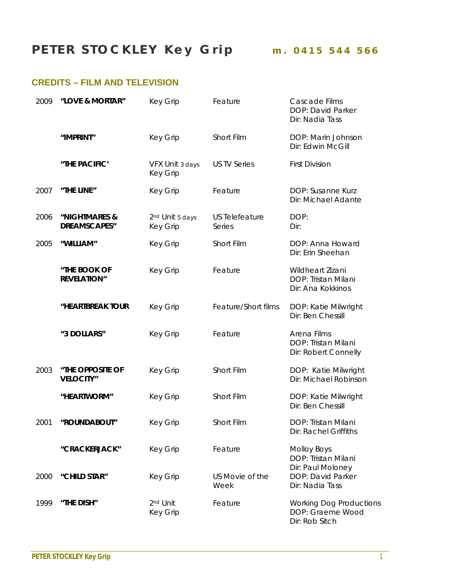## **PETER STOCKLEY Key Grip m. 0415 544 566**

## **CREDITS – FILM AND TELEVISION**

| 2009 | "LOVE & MORTAR"                      | <b>Key Grip</b>                                | Feature                         | Cascade Films<br>DOP: David Parker<br>Dir: Nadia Tass                |
|------|--------------------------------------|------------------------------------------------|---------------------------------|----------------------------------------------------------------------|
|      | "IMPRINT"                            | <b>Key Grip</b>                                | Short Film                      | DOP: Marin Johnson<br>Dir: Edwin McGill                              |
|      | "THE PACIFIC'                        | VFX Unit 3 days<br><b>Key Grip</b>             | <b>US TV Series</b>             | <b>First Division</b>                                                |
| 2007 | "THE LINE"                           | <b>Key Grip</b>                                | Feature                         | DOP: Susanne Kurz<br>Dir: Michael Adante                             |
| 2006 | "NIGHTMARES &<br><b>DREAMSCAPES"</b> | 2 <sup>nd</sup> Unit 5 days<br><b>Key Grip</b> | <b>US Telefeature</b><br>Series | DOP:<br>Dir:                                                         |
| 2005 | "WILLIAM"                            | <b>Key Grip</b>                                | Short Film                      | DOP: Anna Howard<br>Dir: Erin Sheehan                                |
|      | "THE BOOK OF<br><b>REVELATION"</b>   | <b>Key Grip</b>                                | Feature                         | Wildheart Zizani<br>DOP: Tristan Milani<br>Dir: Ana Kokkinos         |
|      | "HEARTBREAK TOUR                     | <b>Key Grip</b>                                | Feature/Short films             | DOP: Katie Milwright<br>Dir: Ben Chessill                            |
|      | "3 DOLLARS"                          | <b>Key Grip</b>                                | Feature                         | Arena Films<br>DOP: Tristan Milani<br>Dir: Robert Connelly           |
| 2003 | "THE OPPOSITE OF<br><b>VELOCITY"</b> | <b>Key Grip</b>                                | Short Film                      | DOP: Katie Milwright<br>Dir: Michael Robinson                        |
|      | "HEARTWORM"                          | <b>Key Grip</b>                                | Short Film                      | DOP: Katie Milwright<br>Dir: Ben Chessill                            |
| 2001 | "ROUNDABOUT"                         | <b>Key Grip</b>                                | Short Film                      | DOP: Tristan Milani<br>Dir: Rachel Griffiths                         |
|      | "CRACKERJACK"                        | <b>Key Grip</b>                                | Feature                         | <b>Molloy Boys</b><br>DOP: Tristan Milani                            |
| 2000 | "CHILD STAR"                         | <b>Key Grip</b>                                | US Movie of the<br>Week         | Dir: Paul Moloney<br>DOP: David Parker<br>Dir: Nadia Tass            |
| 1999 | "THE DISH"                           | 2 <sup>nd</sup> Unit<br><b>Key Grip</b>        | Feature                         | <b>Working Dog Productions</b><br>DOP: Graeme Wood<br>Dir: Rob Sitch |